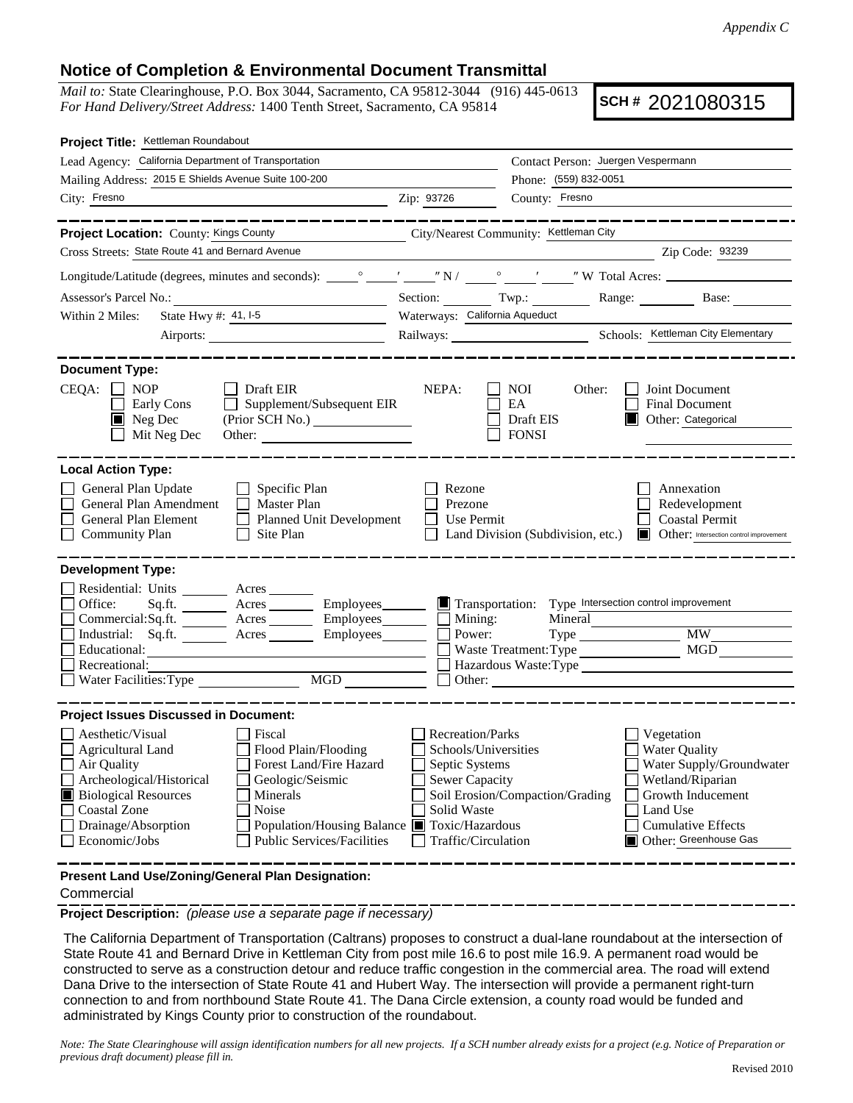## **Notice of Completion & Environmental Document Transmittal**

*Mail to:* State Clearinghouse, P.O. Box 3044, Sacramento, CA 95812-3044 (916) 445-0613 *For Hand Delivery/Street Address:* 1400 Tenth Street, Sacramento, CA 95814

**SCH #** 2021080315

| Project Title: Kettleman Roundabout                                                                                                                                                                                                                                                                                                                                       |                                                                                                                                  |                                                                                  |                                                                                                                                                                           |  |  |  |
|---------------------------------------------------------------------------------------------------------------------------------------------------------------------------------------------------------------------------------------------------------------------------------------------------------------------------------------------------------------------------|----------------------------------------------------------------------------------------------------------------------------------|----------------------------------------------------------------------------------|---------------------------------------------------------------------------------------------------------------------------------------------------------------------------|--|--|--|
| Lead Agency: California Department of Transportation                                                                                                                                                                                                                                                                                                                      |                                                                                                                                  | Contact Person: Juergen Vespermann                                               |                                                                                                                                                                           |  |  |  |
| Mailing Address: 2015 E Shields Avenue Suite 100-200                                                                                                                                                                                                                                                                                                                      |                                                                                                                                  | Phone: (559) 832-0051                                                            |                                                                                                                                                                           |  |  |  |
| City: Fresno                                                                                                                                                                                                                                                                                                                                                              | Zip: 93726                                                                                                                       | County: Fresno                                                                   |                                                                                                                                                                           |  |  |  |
| ____________                                                                                                                                                                                                                                                                                                                                                              |                                                                                                                                  |                                                                                  | _______________                                                                                                                                                           |  |  |  |
| Project Location: County: Kings County<br>Cross Streets: State Route 41 and Bernard Avenue                                                                                                                                                                                                                                                                                |                                                                                                                                  | City/Nearest Community: Kettleman City                                           | Zip Code: 93239                                                                                                                                                           |  |  |  |
|                                                                                                                                                                                                                                                                                                                                                                           |                                                                                                                                  |                                                                                  |                                                                                                                                                                           |  |  |  |
|                                                                                                                                                                                                                                                                                                                                                                           |                                                                                                                                  |                                                                                  |                                                                                                                                                                           |  |  |  |
| Assessor's Parcel No.:<br><u> 1989 - Johann Barbara, martin a</u>                                                                                                                                                                                                                                                                                                         |                                                                                                                                  |                                                                                  | Section: Twp.: Range: Base:                                                                                                                                               |  |  |  |
| State Hwy #: $41, 1.5$<br>Within 2 Miles:                                                                                                                                                                                                                                                                                                                                 | Waterways: California Aqueduct                                                                                                   |                                                                                  |                                                                                                                                                                           |  |  |  |
| Airports:                                                                                                                                                                                                                                                                                                                                                                 |                                                                                                                                  |                                                                                  | Railways: Schools: Kettleman City Elementary                                                                                                                              |  |  |  |
| <b>Document Type:</b>                                                                                                                                                                                                                                                                                                                                                     |                                                                                                                                  |                                                                                  |                                                                                                                                                                           |  |  |  |
| $CEQA: \Box NP$<br>Draft EIR<br>$\Box$ Supplement/Subsequent EIR<br>Early Cons<br>(Prior SCH No.) ________________<br>$\blacksquare$ Neg Dec<br>Mit Neg Dec<br>Other:                                                                                                                                                                                                     | NEPA:                                                                                                                            | <b>NOI</b><br>Other:<br>EA<br>Draft EIS<br><b>FONSI</b>                          | Joint Document<br><b>Final Document</b><br>Other: Categorical                                                                                                             |  |  |  |
| <b>Local Action Type:</b><br>General Plan Update<br>$\Box$ Specific Plan<br>$\Box$ Master Plan<br>General Plan Amendment<br>General Plan Element<br>Planned Unit Development<br><b>Community Plan</b><br>Site Plan                                                                                                                                                        | Rezone<br>Prezone<br>Use Permit                                                                                                  | Land Division (Subdivision, etc.)                                                | Annexation<br>Redevelopment<br><b>Coastal Permit</b><br>Other: Intersection control improvement                                                                           |  |  |  |
| <b>Development Type:</b><br>Residential: Units ________ Acres _______<br>Office:<br>Acres Employees<br>Sq.fit.<br>Acres Employees<br>Commercial: Sq.ft.<br>Industrial: Sq.ft. Acres Employees<br>Educational:<br>Recreational:<br>$\overline{MGD}$<br>Water Facilities: Type                                                                                              | Transportation:<br>$\Box$ Mining:<br>Power:                                                                                      | Mineral<br>Waste Treatment: Type<br>Hazardous Waste:Type<br>$\Box$ Other: $\Box$ | Type Intersection control improvement<br><b>MW</b><br>MGD                                                                                                                 |  |  |  |
| <b>Project Issues Discussed in Document:</b>                                                                                                                                                                                                                                                                                                                              |                                                                                                                                  |                                                                                  |                                                                                                                                                                           |  |  |  |
| Aesthetic/Visual<br>Fiscal<br><b>Agricultural Land</b><br>Flood Plain/Flooding<br>Forest Land/Fire Hazard<br>Air Quality<br>Archeological/Historical<br>Geologic/Seismic<br><b>Biological Resources</b><br>Minerals<br>Noise<br>Coastal Zone<br>Drainage/Absorption<br>Population/Housing Balance ■ Toxic/Hazardous<br><b>Public Services/Facilities</b><br>Economic/Jobs | <b>Recreation/Parks</b><br>Schools/Universities<br>Septic Systems<br><b>Sewer Capacity</b><br>Solid Waste<br>Traffic/Circulation | Soil Erosion/Compaction/Grading                                                  | Vegetation<br><b>Water Quality</b><br>Water Supply/Groundwater<br>Wetland/Riparian<br>Growth Inducement<br>Land Use<br><b>Cumulative Effects</b><br>Other: Greenhouse Gas |  |  |  |
| Present Land Use/Zoning/General Plan Designation:                                                                                                                                                                                                                                                                                                                         |                                                                                                                                  |                                                                                  |                                                                                                                                                                           |  |  |  |

Commercial

**Project Description:** *(please use a separate page if necessary)*

 The California Department of Transportation (Caltrans) proposes to construct a dual-lane roundabout at the intersection of State Route 41 and Bernard Drive in Kettleman City from post mile 16.6 to post mile 16.9. A permanent road would be constructed to serve as a construction detour and reduce traffic congestion in the commercial area. The road will extend Dana Drive to the intersection of State Route 41 and Hubert Way. The intersection will provide a permanent right-turn connection to and from northbound State Route 41. The Dana Circle extension, a county road would be funded and administrated by Kings County prior to construction of the roundabout.

*Note: The State Clearinghouse will assign identification numbers for all new projects. If a SCH number already exists for a project (e.g. Notice of Preparation or previous draft document) please fill in.*